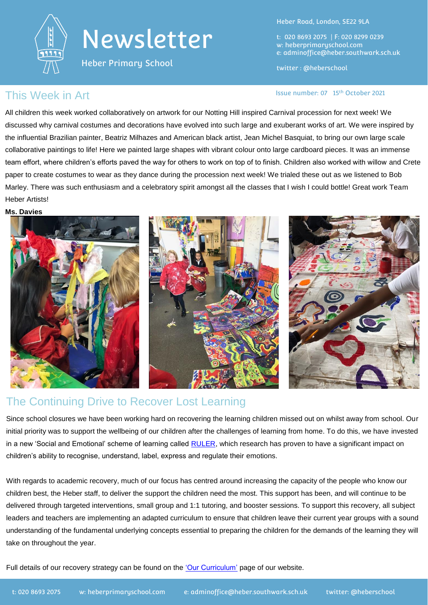

Heber Primary School

Heber Road, London, SE22 9LA

t: 020 8693 2075 | F: 020 8299 0239 w: heberprimaryschool.com e: [adminoffice@heber.southwark.sch.uk](mailto:adminoffice@heber.southwark.sch.uk)

twitter : @heberschool

### This Week in Art **Issue Report of the USA CON** Issue number: 07 15<sup>th</sup> October 2021

All children this week worked collaboratively on artwork for our Notting Hill inspired Carnival procession for next week! We discussed why carnival costumes and decorations have evolved into such large and exuberant works of art. We were inspired by the influential Brazilian painter, Beatriz Milhazes and American black artist, Jean Michel Basquiat, to bring our own large scale collaborative paintings to life! Here we painted large shapes with vibrant colour onto large cardboard pieces. It was an immense team effort, where children's efforts paved the way for others to work on top of to finish. Children also worked with willow and Crete paper to create costumes to wear as they dance during the procession next week! We trialed these out as we listened to Bob Marley. There was such enthusiasm and a celebratory spirit amongst all the classes that I wish I could bottle! Great work Team Heber Artists!

#### **Ms. Davies**



### The Continuing Drive to Recover Lost Learning

Since school closures we have been working hard on recovering the learning children missed out on whilst away from school. Our initial priority was to support the wellbeing of our children after the challenges of learning from home. To do this, we have invested in a new 'Social and Emotional' scheme of learning called [RULER,](https://www.ycei.org/ruler) which research has proven to have a significant impact on children's ability to recognise, understand, label, express and regulate their emotions.

With regards to academic recovery, much of our focus has centred around increasing the capacity of the people who know our children best, the Heber staff, to deliver the support the children need the most. This support has been, and will continue to be delivered through targeted interventions, small group and 1:1 tutoring, and booster sessions. To support this recovery, all subject leaders and teachers are implementing an adapted curriculum to ensure that children leave their current year groups with a sound understanding of the fundamental underlying concepts essential to preparing the children for the demands of the learning they will take on throughout the year.

Full details of our recovery strategy can be found on the ['Our Curriculum'](https://www.heberprimaryschool.com/learning/curriculum-presentations/) page of our website.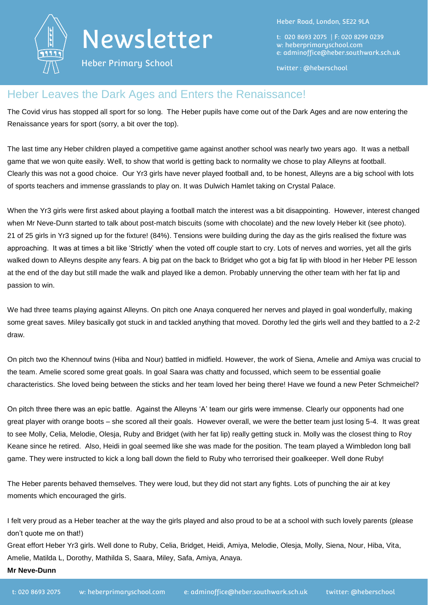

Heber Primary School

Heber Road, London, SE22 9LA

t: 020 8693 2075 | F: 020 8299 0239 w: heberprimaryschool.com e: [adminoffice@heber.southwark.sch.uk](mailto:adminoffice@heber.southwark.sch.uk)

twitter : @heberschool

#### Heber Leaves the Dark Ages and Enters the Renaissance!

The Covid virus has stopped all sport for so long. The Heber pupils have come out of the Dark Ages and are now entering the Renaissance years for sport (sorry, a bit over the top).

The last time any Heber children played a competitive game against another school was nearly two years ago. It was a netball game that we won quite easily. Well, to show that world is getting back to normality we chose to play Alleyns at football. Clearly this was not a good choice. Our Yr3 girls have never played football and, to be honest, Alleyns are a big school with lots of sports teachers and immense grasslands to play on. It was Dulwich Hamlet taking on Crystal Palace.

When the Yr3 girls were first asked about playing a football match the interest was a bit disappointing. However, interest changed when Mr Neve-Dunn started to talk about post-match biscuits (some with chocolate) and the new lovely Heber kit (see photo). 21 of 25 girls in Yr3 signed up for the fixture! (84%). Tensions were building during the day as the girls realised the fixture was approaching. It was at times a bit like 'Strictly' when the voted off couple start to cry. Lots of nerves and worries, yet all the girls walked down to Alleyns despite any fears. A big pat on the back to Bridget who got a big fat lip with blood in her Heber PE lesson at the end of the day but still made the walk and played like a demon. Probably unnerving the other team with her fat lip and passion to win.

We had three teams playing against Alleyns. On pitch one Anaya conquered her nerves and played in goal wonderfully, making some great saves. Miley basically got stuck in and tackled anything that moved. Dorothy led the girls well and they battled to a 2-2 draw.

On pitch two the Khennouf twins (Hiba and Nour) battled in midfield. However, the work of Siena, Amelie and Amiya was crucial to the team. Amelie scored some great goals. In goal Saara was chatty and focussed, which seem to be essential goalie characteristics. She loved being between the sticks and her team loved her being there! Have we found a new Peter Schmeichel?

On pitch three there was an epic battle. Against the Alleyns 'A' team our girls were immense. Clearly our opponents had one great player with orange boots – she scored all their goals. However overall, we were the better team just losing 5-4. It was great to see Molly, Celia, Melodie, Olesja, Ruby and Bridget (with her fat lip) really getting stuck in. Molly was the closest thing to Roy Keane since he retired. Also, Heidi in goal seemed like she was made for the position. The team played a Wimbledon long ball game. They were instructed to kick a long ball down the field to Ruby who terrorised their goalkeeper. Well done Ruby!

The Heber parents behaved themselves. They were loud, but they did not start any fights. Lots of punching the air at key moments which encouraged the girls.

I felt very proud as a Heber teacher at the way the girls played and also proud to be at a school with such lovely parents (please don't quote me on that!)

Great effort Heber Yr3 girls. Well done to Ruby, Celia, Bridget, Heidi, Amiya, Melodie, Olesja, Molly, Siena, Nour, Hiba, Vita, Amelie, Matilda L, Dorothy, Mathilda S, Saara, Miley, Safa, Amiya, Anaya.

**Mr Neve-Dunn**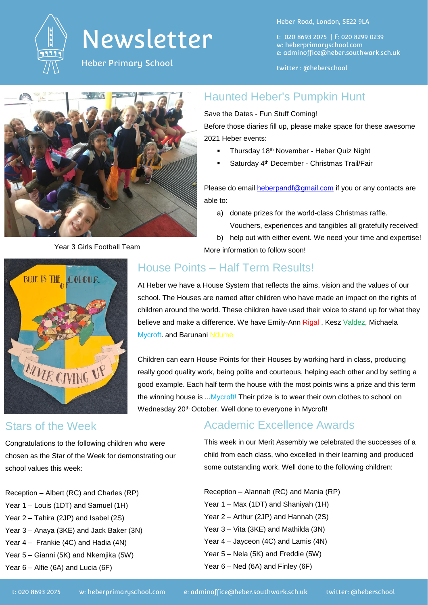

Heber Primary School

Heber Road, London, SE22 9LA

t: 020 8693 2075 | F: 020 8299 0239 w: heberprimaryschool.com e: [adminoffice@heber.southwark.sch.uk](mailto:adminoffice@heber.southwark.sch.uk)

twitter : @heberschool



#### Haunted Heber's Pumpkin Hunt

#### Save the Dates - Fun Stuff Coming!

Before those diaries fill up, please make space for these awesome 2021 Heber events:

- Thursday 18th November Heber Quiz Night
- Saturday 4<sup>th</sup> December Christmas Trail/Fair

Please do email [heberpandf@gmail.com](mailto:heberpandf@gmail.com) if you or any contacts are able to:

- a) donate prizes for the world-class Christmas raffle. Vouchers, experiences and tangibles all gratefully received!
- b) help out with either event. We need your time and expertise!

More information to follow soon!

# **BLUE IS THE COLOUR** MUZR GIVING UP

# House Points – Half Term Results!

At Heber we have a House System that reflects the aims, vision and the values of our school. The Houses are named after children who have made an impact on the rights of children around the world. These children have used their voice to stand up for what they believe and make a difference. We have Emily-Ann Rigal, Kesz Valdez, Michaela Mycroft. and Barunani Ndume

Children can earn House Points for their Houses by working hard in class, producing really good quality work, being polite and courteous, helping each other and by setting a good example. Each half term the house with the most points wins a prize and this term the winning house is ... Mycroft! Their prize is to wear their own clothes to school on Wednesday 20<sup>th</sup> October. Well done to everyone in Mycroft!

## Stars of the Week

Congratulations to the following children who were chosen as the Star of the Week for demonstrating our school values this week:

Reception – Albert (RC) and Charles (RP) Year 1 – Louis (1DT) and Samuel (1H) Year 2 – Tahira (2JP) and Isabel (2S) Year 3 – Anaya (3KE) and Jack Baker (3N) Year 4 – Frankie (4C) and Hadia (4N) Year 5 – Gianni (5K) and Nkemjika (5W) Year 6 – Alfie (6A) and Lucia (6F)

## Academic Excellence Awards

This week in our Merit Assembly we celebrated the successes of a child from each class, who excelled in their learning and produced some outstanding work. Well done to the following children:

Reception – Alannah (RC) and Mania (RP) Year 1 – Max (1DT) and Shaniyah (1H) Year 2 – Arthur (2JP) and Hannah (2S) Year 3 – Vita (3KE) and Mathilda (3N) Year 4 – Jayceon (4C) and Lamis (4N) Year 5 – Nela (5K) and Freddie (5W) Year 6 – Ned (6A) and Finley (6F)

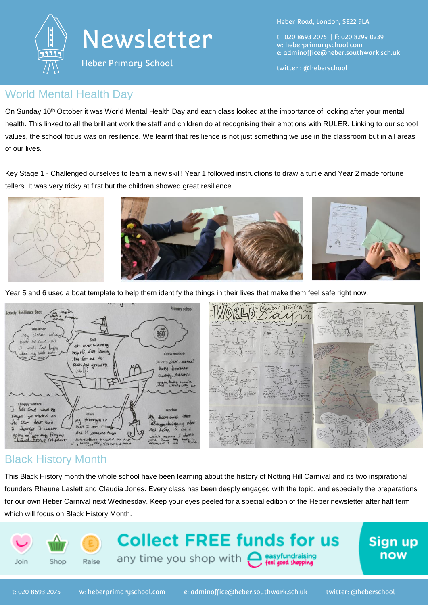



Heber Primary School

Heber Road, London, SE22 9LA

t: 020 8693 2075 | F: 020 8299 0239 w: heberprimaryschool.com e: [adminoffice@heber.southwark.sch.uk](mailto:adminoffice@heber.southwark.sch.uk)

twitter : @heberschool

#### World Mental Health Day

On Sunday 10<sup>th</sup> October it was World Mental Health Day and each class looked at the importance of looking after your mental health. This linked to all the brilliant work the staff and children do at recognising their emotions with RULER. Linking to our school values, the school focus was on resilience. We learnt that resilience is not just something we use in the classroom but in all areas of our lives.

Key Stage 1 - Challenged ourselves to learn a new skill! Year 1 followed instructions to draw a turtle and Year 2 made fortune tellers. It was very tricky at first but the children showed great resilience.



Year 5 and 6 used a boat template to help them identify the things in their lives that make them feel safe right now.



#### Black History Month

This Black History month the whole school have been learning about the history of Notting Hill Carnival and its two inspirational founders Rhaune Laslett and Claudia Jones. Every class has been deeply engaged with the topic, and especially the preparations for our own Heber Carnival next Wednesday. Keep your eyes peeled for a special edition of the Heber newsletter after half term which will focus on Black History Month.

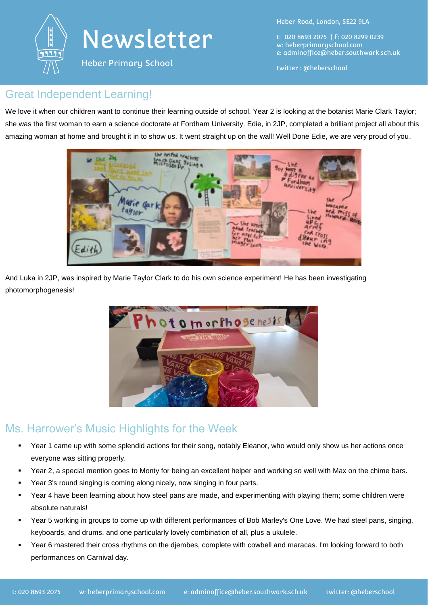

Heber Road, London, SE22 9LA

t: 020 8693 2075 | F: 020 8299 0239 w: heberprimaryschool.com e: [adminoffice@heber.southwark.sch.uk](mailto:adminoffice@heber.southwark.sch.uk)

twitter : @heberschool

## Great Independent Learning!

We love it when our children want to continue their learning outside of school. Year 2 is looking at the botanist Marie Clark Taylor; she was the first woman to earn a science doctorate at Fordham University. Edie, in 2JP, completed a brilliant project all about this amazing woman at home and brought it in to show us. It went straight up on the wall! Well Done Edie, we are very proud of you.



And Luka in 2JP, was inspired by Marie Taylor Clark to do his own science experiment! He has been investigating photomorphogenesis!



### Ms. Harrower's Music Highlights for the Week

- Year 1 came up with some splendid actions for their song, notably Eleanor, who would only show us her actions once everyone was sitting properly.
- Year 2, a special mention goes to Monty for being an excellent helper and working so well with Max on the chime bars.
- Year 3's round singing is coming along nicely, now singing in four parts.
- Year 4 have been learning about how steel pans are made, and experimenting with playing them; some children were absolute naturals!
- Year 5 working in groups to come up with different performances of Bob Marley's One Love. We had steel pans, singing, keyboards, and drums, and one particularly lovely combination of all, plus a ukulele.
- Year 6 mastered their cross rhythms on the djembes, complete with cowbell and maracas. I'm looking forward to both performances on Carnival day.